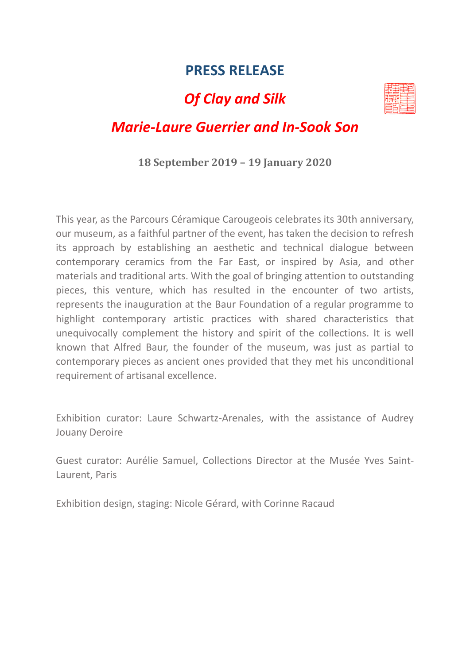## **PRESS RELEASE**

# *Of Clay and Silk*



## *Marie-Laure Guerrier and In-Sook Son*

#### **18 September 2019 – 19 January 2020**

This year, as the Parcours Céramique Carougeois celebrates its 30th anniversary, our museum, as a faithful partner of the event, has taken the decision to refresh its approach by establishing an aesthetic and technical dialogue between contemporary ceramics from the Far East, or inspired by Asia, and other materials and traditional arts. With the goal of bringing attention to outstanding pieces, this venture, which has resulted in the encounter of two artists, represents the inauguration at the Baur Foundation of a regular programme to highlight contemporary artistic practices with shared characteristics that unequivocally complement the history and spirit of the collections. It is well known that Alfred Baur, the founder of the museum, was just as partial to contemporary pieces as ancient ones provided that they met his unconditional requirement of artisanal excellence.

Exhibition curator: Laure Schwartz-Arenales, with the assistance of Audrey Jouany Deroire

Guest curator: Aurélie Samuel, Collections Director at the Musée Yves Saint-Laurent, Paris

Exhibition design, staging: Nicole Gérard, with Corinne Racaud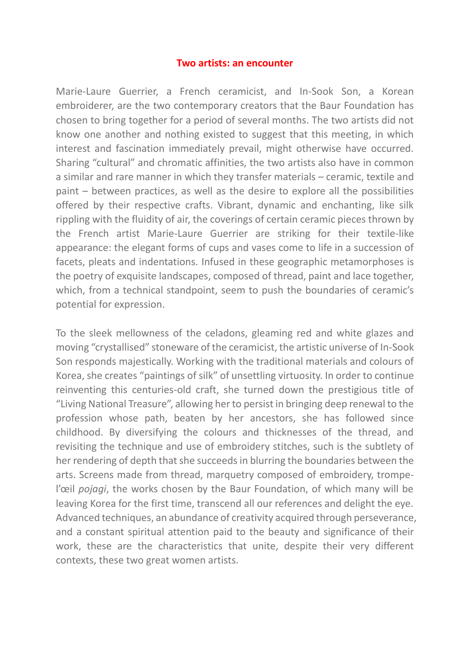#### **Two artists: an encounter**

Marie-Laure Guerrier, a French ceramicist, and In-Sook Son, a Korean embroiderer, are the two contemporary creators that the Baur Foundation has chosen to bring together for a period of several months. The two artists did not know one another and nothing existed to suggest that this meeting, in which interest and fascination immediately prevail, might otherwise have occurred. Sharing "cultural" and chromatic affinities, the two artists also have in common a similar and rare manner in which they transfer materials – ceramic, textile and paint – between practices, as well as the desire to explore all the possibilities offered by their respective crafts. Vibrant, dynamic and enchanting, like silk rippling with the fluidity of air, the coverings of certain ceramic pieces thrown by the French artist Marie-Laure Guerrier are striking for their textile-like appearance: the elegant forms of cups and vases come to life in a succession of facets, pleats and indentations. Infused in these geographic metamorphoses is the poetry of exquisite landscapes, composed of thread, paint and lace together, which, from a technical standpoint, seem to push the boundaries of ceramic's potential for expression.

To the sleek mellowness of the celadons, gleaming red and white glazes and moving "crystallised" stoneware of the ceramicist, the artistic universe of In-Sook Son responds majestically. Working with the traditional materials and colours of Korea, she creates "paintings of silk" of unsettling virtuosity. In order to continue reinventing this centuries-old craft, she turned down the prestigious title of "Living National Treasure", allowing her to persist in bringing deep renewal to the profession whose path, beaten by her ancestors, she has followed since childhood. By diversifying the colours and thicknesses of the thread, and revisiting the technique and use of embroidery stitches, such is the subtlety of her rendering of depth that she succeeds in blurring the boundaries between the arts. Screens made from thread, marquetry composed of embroidery, trompel'œil *pojagi*, the works chosen by the Baur Foundation, of which many will be leaving Korea for the first time, transcend all our references and delight the eye. Advanced techniques, an abundance of creativity acquired through perseverance, and a constant spiritual attention paid to the beauty and significance of their work, these are the characteristics that unite, despite their very different contexts, these two great women artists.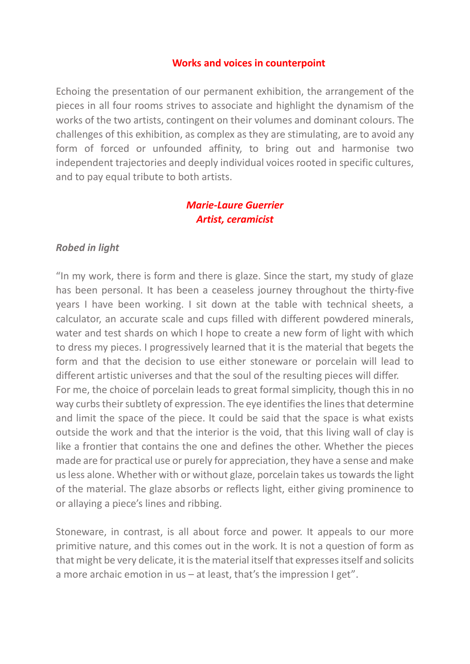#### **Works and voices in counterpoint**

Echoing the presentation of our permanent exhibition, the arrangement of the pieces in all four rooms strives to associate and highlight the dynamism of the works of the two artists, contingent on their volumes and dominant colours. The challenges of this exhibition, as complex as they are stimulating, are to avoid any form of forced or unfounded affinity, to bring out and harmonise two independent trajectories and deeply individual voices rooted in specific cultures, and to pay equal tribute to both artists.

#### *Marie-Laure Guerrier Artist, ceramicist*

#### *Robed in light*

"In my work, there is form and there is glaze. Since the start, my study of glaze has been personal. It has been a ceaseless journey throughout the thirty-five years I have been working. I sit down at the table with technical sheets, a calculator, an accurate scale and cups filled with different powdered minerals, water and test shards on which I hope to create a new form of light with which to dress my pieces. I progressively learned that it is the material that begets the form and that the decision to use either stoneware or porcelain will lead to different artistic universes and that the soul of the resulting pieces will differ. For me, the choice of porcelain leads to great formal simplicity, though this in no way curbs their subtlety of expression. The eye identifies the lines that determine and limit the space of the piece. It could be said that the space is what exists outside the work and that the interior is the void, that this living wall of clay is like a frontier that contains the one and defines the other. Whether the pieces made are for practical use or purely for appreciation, they have a sense and make us less alone. Whether with or without glaze, porcelain takes us towards the light of the material. The glaze absorbs or reflects light, either giving prominence to or allaying a piece's lines and ribbing.

Stoneware, in contrast, is all about force and power. It appeals to our more primitive nature, and this comes out in the work. It is not a question of form as that might be very delicate, it is the material itself that expresses itself and solicits a more archaic emotion in us  $-$  at least, that's the impression I get".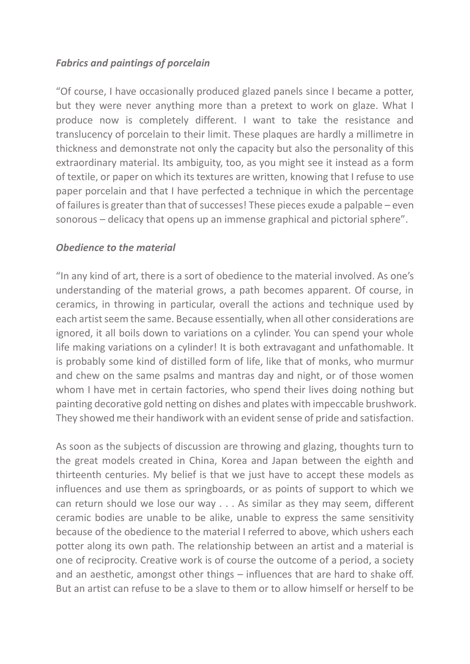## *Fabrics and paintings of porcelain*

"Of course, I have occasionally produced glazed panels since I became a potter, but they were never anything more than a pretext to work on glaze. What I produce now is completely different. I want to take the resistance and translucency of porcelain to their limit. These plaques are hardly a millimetre in thickness and demonstrate not only the capacity but also the personality of this extraordinary material. Its ambiguity, too, as you might see it instead as a form of textile, or paper on which its textures are written, knowing that I refuse to use paper porcelain and that I have perfected a technique in which the percentage of failures is greater than that of successes! These pieces exude a palpable – even sonorous – delicacy that opens up an immense graphical and pictorial sphere".

#### *Obedience to the material*

"In any kind of art, there is a sort of obedience to the material involved. As one's understanding of the material grows, a path becomes apparent. Of course, in ceramics, in throwing in particular, overall the actions and technique used by each artist seem the same. Because essentially, when all other considerations are ignored, it all boils down to variations on a cylinder. You can spend your whole life making variations on a cylinder! It is both extravagant and unfathomable. It is probably some kind of distilled form of life, like that of monks, who murmur and chew on the same psalms and mantras day and night, or of those women whom I have met in certain factories, who spend their lives doing nothing but painting decorative gold netting on dishes and plates with impeccable brushwork. They showed me their handiwork with an evident sense of pride and satisfaction.

As soon as the subjects of discussion are throwing and glazing, thoughts turn to the great models created in China, Korea and Japan between the eighth and thirteenth centuries. My belief is that we just have to accept these models as influences and use them as springboards, or as points of support to which we can return should we lose our way . . . As similar as they may seem, different ceramic bodies are unable to be alike, unable to express the same sensitivity because of the obedience to the material I referred to above, which ushers each potter along its own path. The relationship between an artist and a material is one of reciprocity. Creative work is of course the outcome of a period, a society and an aesthetic, amongst other things – influences that are hard to shake off. But an artist can refuse to be a slave to them or to allow himself or herself to be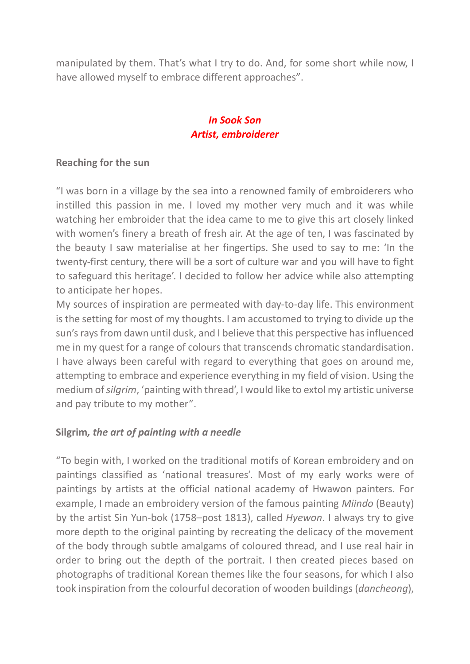manipulated by them. That's what I try to do. And, for some short while now, I have allowed myself to embrace different approaches".

### *In Sook Son Artist, embroiderer*

#### **Reaching for the sun**

"I was born in a village by the sea into a renowned family of embroiderers who instilled this passion in me. I loved my mother very much and it was while watching her embroider that the idea came to me to give this art closely linked with women's finery a breath of fresh air. At the age of ten, I was fascinated by the beauty I saw materialise at her fingertips. She used to say to me: 'In the twenty-first century, there will be a sort of culture war and you will have to fight to safeguard this heritage'. I decided to follow her advice while also attempting to anticipate her hopes.

My sources of inspiration are permeated with day-to-day life. This environment is the setting for most of my thoughts. I am accustomed to trying to divide up the sun's rays from dawn until dusk, and I believe that this perspective has influenced me in my quest for a range of colours that transcends chromatic standardisation. I have always been careful with regard to everything that goes on around me, attempting to embrace and experience everything in my field of vision. Using the medium of *silgrim*, 'painting with thread', I would like to extol my artistic universe and pay tribute to my mother".

### **Silgrim***, the art of painting with a needle*

"To begin with, I worked on the traditional motifs of Korean embroidery and on paintings classified as 'national treasures'. Most of my early works were of paintings by artists at the official national academy of Hwawon painters. For example, I made an embroidery version of the famous painting *Miindo* (Beauty) by the artist Sin Yun-bok (1758–post 1813), called *Hyewon*. I always try to give more depth to the original painting by recreating the delicacy of the movement of the body through subtle amalgams of coloured thread, and I use real hair in order to bring out the depth of the portrait. I then created pieces based on photographs of traditional Korean themes like the four seasons, for which I also took inspiration from the colourful decoration of wooden buildings (*dancheong*),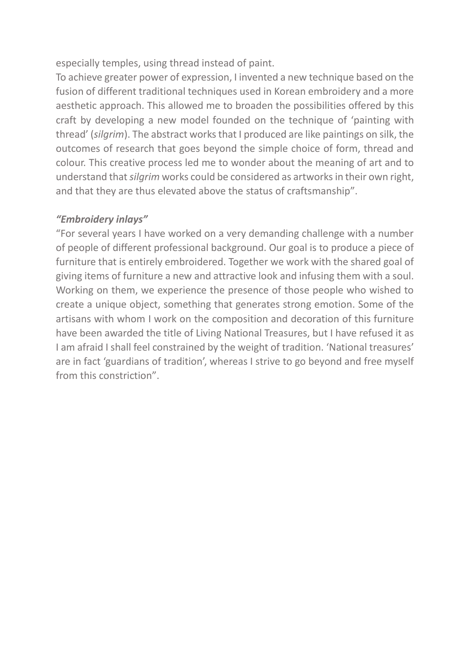especially temples, using thread instead of paint.

To achieve greater power of expression, I invented a new technique based on the fusion of different traditional techniques used in Korean embroidery and a more aesthetic approach. This allowed me to broaden the possibilities offered by this craft by developing a new model founded on the technique of 'painting with thread' (*silgrim*). The abstract works that I produced are like paintings on silk, the outcomes of research that goes beyond the simple choice of form, thread and colour. This creative process led me to wonder about the meaning of art and to understand that *silgrim* works could be considered as artworks in their own right, and that they are thus elevated above the status of craftsmanship".

#### *"Embroidery inlays"*

"For several years I have worked on a very demanding challenge with a number of people of different professional background. Our goal is to produce a piece of furniture that is entirely embroidered. Together we work with the shared goal of giving items of furniture a new and attractive look and infusing them with a soul. Working on them, we experience the presence of those people who wished to create a unique object, something that generates strong emotion. Some of the artisans with whom I work on the composition and decoration of this furniture have been awarded the title of Living National Treasures, but I have refused it as I am afraid I shall feel constrained by the weight of tradition. 'National treasures' are in fact 'guardians of tradition', whereas I strive to go beyond and free myself from this constriction".